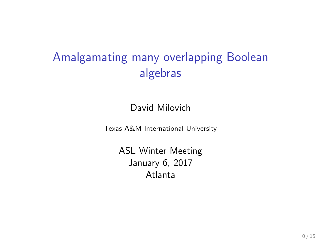# Amalgamating many overlapping Boolean algebras

David Milovich

Texas A&M International University

ASL Winter Meeting January 6, 2017 Atlanta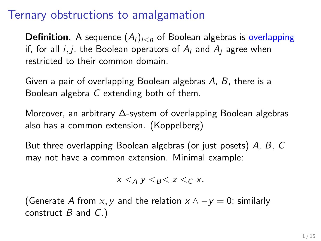## Ternary obstructions to amalgamation

**Definition.** A sequence  $(A_i)_{i \leq n}$  of Boolean algebras is overlapping if, for all i, j, the Boolean operators of  $A_i$  and  $A_i$  agree when restricted to their common domain.

Given a pair of overlapping Boolean algebras A, B, there is a Boolean algebra C extending both of them.

Moreover, an arbitrary ∆-system of overlapping Boolean algebras also has a common extension. (Koppelberg)

But three overlapping Boolean algebras (or just posets) A, B, C may not have a common extension. Minimal example:

$$
x <_A y <_B < z <_C x.
$$

(Generate A from x, y and the relation  $x \wedge -y = 0$ ; similarly construct  $B$  and  $C$ .)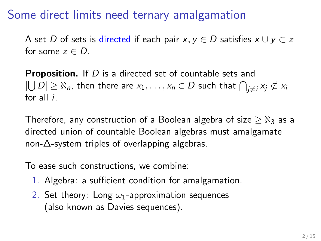Some direct limits need ternary amalgamation

A set D of sets is directed if each pair  $x, y \in D$  satisfies  $x \cup y \subset z$ for some  $z \in D$ .

**Proposition.** If D is a directed set of countable sets and  $|\bigcup D|\geq\aleph_n,$  then there are  $x_1,\ldots,x_n\in D$  such that  $\bigcap_{j\neq i}x_j\not\subset x_i$ for all  $i$ .

Therefore, any construction of a Boolean algebra of size  $> \aleph_3$  as a directed union of countable Boolean algebras must amalgamate non-∆-system triples of overlapping algebras.

To ease such constructions, we combine:

- 1. Algebra: a sufficient condition for amalgamation.
- 2. Set theory: Long  $\omega_1$ -approximation sequences (also known as Davies sequences).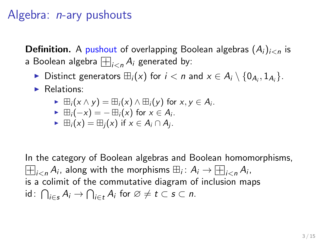## Algebra: *n*-ary pushouts

**Definition.** A pushout of overlapping Boolean algebras  $(A_i)_{i \le n}$  is **Derinition.** A pushout of overlapping Bo<br>a Boolean algebra  $\mathop{\boxplus}_{i < n} A_i$  generated by:

- ► Distinct generators  $\boxplus_i(x)$  for  $i < n$  and  $x \in A_i \setminus \{0_{A_i}, 1_{A_i}\}.$
- $\blacktriangleright$  Relations:

$$
\blacktriangleright \; \boxplus_i(x \wedge y) = \boxplus_i(x) \wedge \boxplus_i(y) \text{ for } x, y \in A_i.
$$

$$
\blacktriangleright \ \mathbb{H}_i(-x) = -\mathbb{H}_i(x) \text{ for } x \in A_i.
$$

$$
\blacktriangleright \; \boxplus_i(x) = \boxplus_j(x) \text{ if } x \in A_i \cap A_j.
$$

In the category of Boolean algebras and Boolean homomorphisms, Ð Ð  $\mathcal{A}_i$ , along with the morphisms  $\boxplus_i \colon A_i \to \textstyle\bigoplus_{i < n} A_i,$ is a colimit of the commutative diagram of inclusion maps id:  $\bigcap_{i\in s} A_i \to \bigcap_{i\in t} A_i$  for  $\varnothing \neq t \subset s \subset n$ .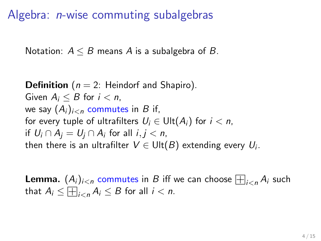## Algebra: *n*-wise commuting subalgebras

Notation:  $A \leq B$  means A is a subalgebra of B.

**Definition** ( $n = 2$ : Heindorf and Shapiro). Given  $A_i \leq B$  for  $i \leq n$ , we say  $(A_i)_{i \leq n}$  commutes in B if, for every tuple of ultrafilters  $U_i \in \text{Ult}(A_i)$  for  $i < n$ , if  $U_i \cap A_j = U_j \cap A_i$  for all  $i,j < n$ , then there is an ultrafilter  $\mathsf{V}\in\mathsf{Ult}(B)$  extending every  $\mathsf{U}_i.$ 

**Lemma.**  $(A_i)_{i < n}$  commutes in  $B$  iff we can choose  $\overline{\boxplus}_{i < n} A_i$  such that  $A_i \leq \boxplus_{i < n} A_i \leq B$  for all  $i < n$ .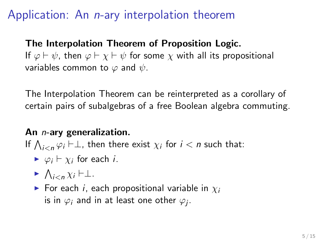# Application: An *n*-ary interpolation theorem

The Interpolation Theorem of Proposition Logic. If  $\varphi \vdash \psi$ , then  $\varphi \vdash \chi \vdash \psi$  for some  $\chi$  with all its propositional variables common to  $\varphi$  and  $\psi$ .

The Interpolation Theorem can be reinterpreted as a corollary of certain pairs of subalgebras of a free Boolean algebra commuting.

#### An n-ary generalization.

If  $\bigwedge_{i\leq n}\varphi_i\vdash\perp$ , then there exist  $\chi_i$  for  $i< n$  such that:

- $ightharpoonup \varphi_i \vdash \chi_i$  for each *i*.
- $\blacktriangleright \bigwedge_{i\leq n}\chi_i\vdash\perp$ .
- For each i, each propositional variable in  $\chi_i$ is in  $\varphi_i$  and in at least one other  $\varphi_j.$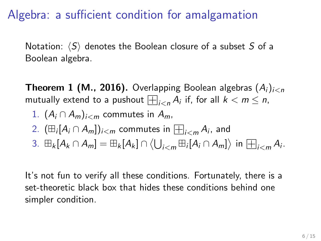Algebra: a sufficient condition for amalgamation

Notation:  $\langle S \rangle$  denotes the Boolean closure of a subset S of a Boolean algebra.

**Theorem 1 (M., 2016).** Overlapping Boolean algebras  $(A_i)_{i \le n}$ **Theorem I (M., 2010).** Overlapping Boolean algebras ( $A_i$ )<br>mutually extend to a pushout  $\bigoplus_{i \le n} A_i$  if, for all  $k < m \le n$ ,

\n- 1. 
$$
(A_i \cap A_m)_{i < m}
$$
 commutes in  $A_m$ ,
\n- 2.  $(\boxplus_i [A_i \cap A_m])_{i < m}$  commutes in  $\boxplus_{i < m} A_i$ , and
\n- 3.  $\boxplus_k [A_k \cap A_m] = \boxplus_k [A_k] \cap \langle \bigcup_{i < m} \boxplus_i [A_i \cap A_m] \rangle$  in  $\boxplus_{i < m} A_i$ .
\n

It's not fun to verify all these conditions. Fortunately, there is a set-theoretic black box that hides these conditions behind one simpler condition.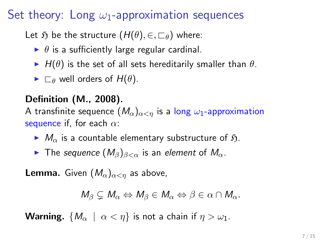## Set theory: Long  $\omega_1$ -approximation sequences

Let  $\mathfrak H$  be the structure  $(H(\theta), \in, \sqsubset_{\theta})$  where:

- $\blacktriangleright$   $\theta$  is a sufficiently large regular cardinal.
- $\blacktriangleright$  H( $\theta$ ) is the set of all sets hereditarily smaller than  $\theta$ .
- $\blacktriangleright \sqsubset_{\theta}$  well orders of  $H(\theta)$ .

### Definition (M., 2008).

A transfinite sequence  $(M_\alpha)_{\alpha<\eta}$  is a long  $\omega_1$ -approximation sequence if, for each  $\alpha$ :

- $\blacktriangleright M_{\alpha}$  is a countable elementary substructure of  $\mathfrak{H}$ .
- **If** The sequence  $(M_\beta)_{\beta<\alpha}$  is an element of  $M_\alpha$ .

**Lemma.** Given  $(M_\alpha)_{\alpha < n}$  as above,

$$
M_{\beta} \subsetneq M_{\alpha} \Leftrightarrow M_{\beta} \in M_{\alpha} \Leftrightarrow \beta \in \alpha \cap M_{\alpha}.
$$

**Warning.**  $\{M_{\alpha} \mid \alpha < \eta\}$  is not a chain if  $\eta > \omega_1$ .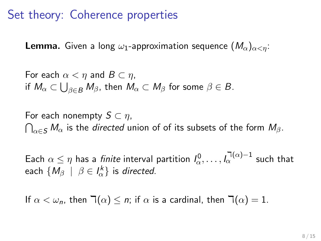## Set theory: Coherence properties

**Lemma.** Given a long  $\omega_1$ -approximation sequence  $(M_\alpha)_{\alpha \leq n}$ .

For each 
$$
\alpha < \eta
$$
 and  $B \subset \eta$ , if  $M_{\alpha} \subset \bigcup_{\beta \in B} M_{\beta}$ , then  $M_{\alpha} \subset M_{\beta}$  for some  $\beta \in B$ .

For each nonempty  $S \subset \eta$ ,  $\bigcap_{\alpha \in \mathcal{S}} M_\alpha$  is the *directed* union of of its subsets of the form  $M_\beta.$ 

Each  $\alpha \leq \eta$  has a *finite* interval partition  $I_\alpha^0,\ldots,I_\alpha^{\lceil(\alpha)-1\rceil}$  such that each  $\{M_\beta\;\mid\; \beta\in I^\mathcal{k}_\alpha\}$  is directed.

If  $\alpha < \omega_n$ , then  $\exists (\alpha) \leq n$ ; if  $\alpha$  is a cardinal, then  $\exists (\alpha) = 1$ .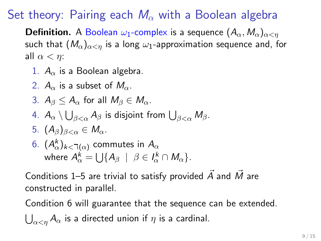Set theory: Pairing each  $M_{\alpha}$  with a Boolean algebra

**Definition.** A Boolean  $\omega_1$ -complex is a sequence  $(A_\alpha, M_\alpha)_{\alpha < n}$ such that  $(M_\alpha)_{\alpha < n}$  is a long  $\omega_1$ -approximation sequence and, for all  $\alpha < n$ :

- 1.  $A_{\alpha}$  is a Boolean algebra.
- 2.  $A_{\alpha}$  is a subset of  $M_{\alpha}$ .
- 3.  $A_{\beta} \leq A_{\alpha}$  for all  $M_{\beta} \in M_{\alpha}$ .
- 4.  $A_{\alpha}\setminus\bigcup_{\beta<\alpha}A_{\beta}$  is disjoint from  $\bigcup_{\beta<\alpha}M_{\beta}.$
- 5.  $(A_\beta)_{\beta<\alpha}\in M_\alpha$ .
- $6.$   $(A_\alpha^k)_{k<\daleth(\alpha)}$  commutes in  $A_\alpha$ where  $A_\alpha^k = \bigcup \{ A_\beta \mid \beta \in I_\alpha^k \cap M_\alpha \}.$

Conditions 1–5 are trivial to satisfy provided  $\vec{A}$  and  $\vec{M}$  are constructed in parallel.

Condition 6 will guarantee that the sequence can be extended.

 $\bigcup_{\alpha<\eta} A_\alpha$  is a directed union if  $\eta$  is a cardinal.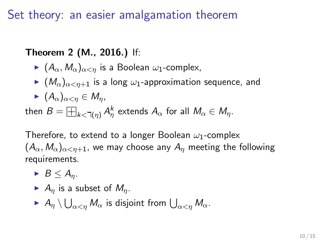Set theory: an easier amalgamation theorem

#### Theorem 2 (M., 2016.) If:

- $\blacktriangleright$   $(A_{\alpha}, M_{\alpha})_{\alpha < n}$  is a Boolean  $\omega_1$ -complex,
- $\blacktriangleright$   $(M_{\alpha})_{\alpha<\eta+1}$  is a long  $\omega_1$ -approximation sequence, and

$$
\blacktriangleright (A_{\alpha})_{\alpha < \eta} \in M_{\eta},
$$

then  $B=\,$  $\kappa_< \!\! \lnot_{(\eta)} A_\eta^k$  extends  $A_\alpha$  for all  $M_\alpha \in M_\eta.$ 

Therefore, to extend to a longer Boolean  $\omega_1$ -complex  $(A_{\alpha}, M_{\alpha})_{\alpha \leq n+1}$ , we may choose any  $A_n$  meeting the following requirements.

- $\blacktriangleright$  B  $\lt A_n$ .
- A<sub>n</sub> is a subset of  $M_n$ .
- $\blacktriangleright~$   $A_\eta\setminus\bigcup_{\alpha<\eta}M_\alpha$  is disjoint from  $\bigcup_{\alpha<\eta}M_\alpha.$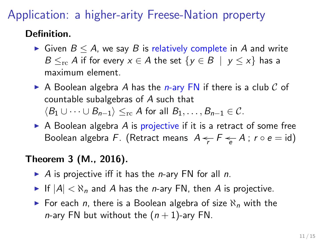# Application: a higher-arity Freese-Nation property

### Definition.

- $\triangleright$  Given  $B \leq A$ , we say B is relatively complete in A and write  $B \leq_{\text{rc}} A$  if for every  $x \in A$  the set  $\{y \in B \mid y \leq x\}$  has a maximum element.
- A Boolean algebra A has the  $n$ -ary FN if there is a club C of countable subalgebras of A such that  $\langle B_1 \cup \cdots \cup B_{n-1} \rangle \leq_{\rm rc} A$  for all  $B_1, \ldots, B_{n-1} \in \mathcal{C}$ .
- $\triangleright$  A Boolean algebra A is projective if it is a retract of some free Boolean algebra F. (Retract means  $A \leftarrow \atop r} F \rightleftharpoons A$  ;  $r \circ e = \mathsf{id}$ )

### Theorem 3 (M., 2016).

- A is projective iff it has the *n*-ary FN for all *n*.
- If  $|A| < \aleph_n$  and A has the *n*-ary FN, then A is projective.
- For each n, there is a Boolean algebra of size  $\aleph_n$  with the *n*-ary FN but without the  $(n + 1)$ -ary FN.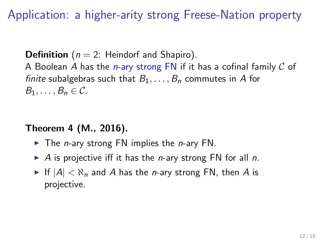Application: a higher-arity strong Freese-Nation property

**Definition** ( $n = 2$ : Heindorf and Shapiro).

A Boolean A has the *n*-ary strong FN if it has a cofinal family  $C$  of finite subalgebras such that  $B_1, \ldots, B_n$  commutes in A for  $B_1, \ldots, B_n \in \mathcal{C}$ .

#### Theorem 4 (M., 2016).

- $\blacktriangleright$  The *n*-ary strong FN implies the *n*-ary FN.
- A is projective iff it has the *n*-ary strong FN for all *n*.
- If  $|A| < \aleph_n$  and A has the *n*-ary strong FN, then A is projective.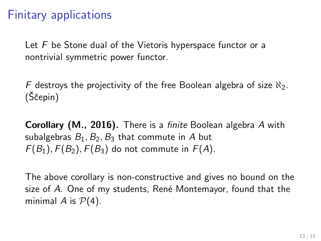## Finitary applications

Let  $F$  be Stone dual of the Vietoris hyperspace functor or a nontrivial symmetric power functor.

F destroys the projectivity of the free Boolean algebra of size  $\aleph_2$ . (Ščepin)

Corollary (M., 2016). There is a finite Boolean algebra A with subalgebras  $B_1, B_2, B_3$  that commute in A but  $F(B_1)$ ,  $F(B_2)$ ,  $F(B_3)$  do not commute in  $F(A)$ .

The above corollary is non-constructive and gives no bound on the size of A. One of my students, René Montemayor, found that the minimal A is  $P(4)$ .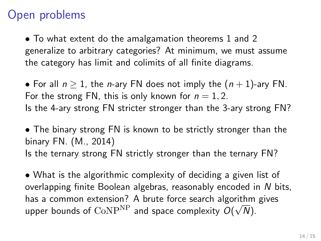# Open problems

• To what extent do the amalgamation theorems 1 and 2 generalize to arbitrary categories? At minimum, we must assume the category has limit and colimits of all finite diagrams.

• For all  $n \geq 1$ , the *n*-ary FN does not imply the  $(n + 1)$ -ary FN. For the strong FN, this is only known for  $n = 1, 2$ . Is the 4-ary strong FN stricter stronger than the 3-ary strong FN?

• The binary strong FN is known to be strictly stronger than the binary FN. (M., 2014) Is the ternary strong FN strictly stronger than the ternary FN?

• What is the algorithmic complexity of deciding a given list of overlapping finite Boolean algebras, reasonably encoded in N bits, has a common extension? A brute force search algorithm gives upper bounds of  $\mathrm{CoNP^{NP}}$  and space complexity  $O(\sqrt{N}).$